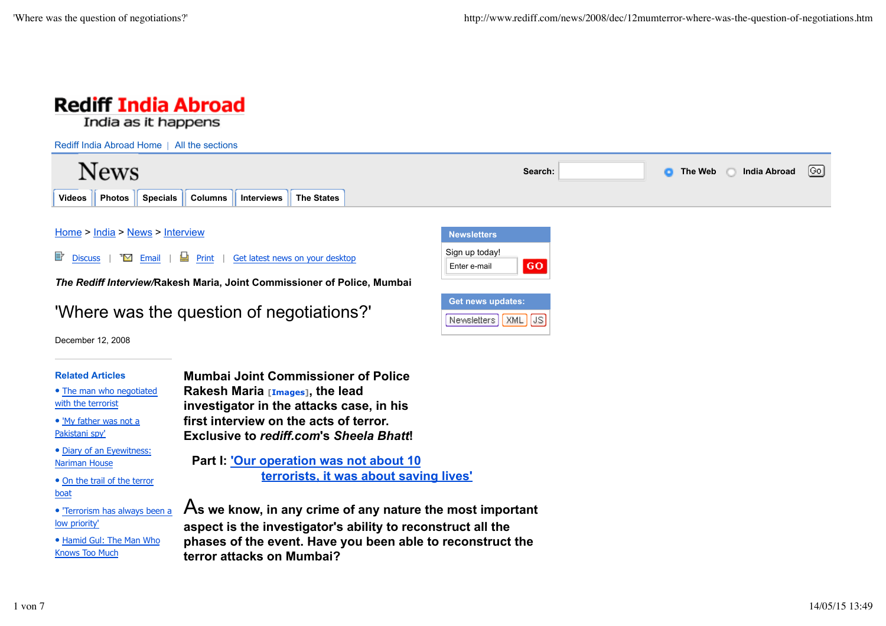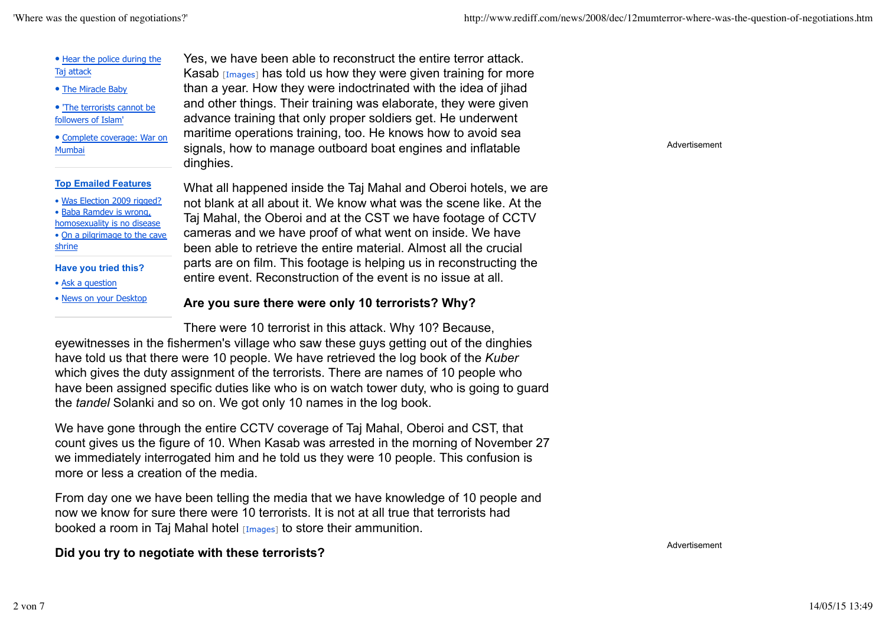| • Hear the police during the<br>Taj attack<br>• The Miracle Baby<br>. The terrorists cannot be<br>followers of Islam'<br>· Complete coverage: War on<br>Mumbai                                              | Yes, we have been able to reconstruct the entire terror attack.<br>Kasab $[Image]$ has told us how they were given training for more<br>than a year. How they were indoctrinated with the idea of jihad<br>and other things. Their training was elaborate, they were given<br>advance training that only proper soldiers get. He underwent<br>maritime operations training, too. He knows how to avoid sea<br>signals, how to manage outboard boat engines and inflatable<br>dinghies. | Advertisement |
|-------------------------------------------------------------------------------------------------------------------------------------------------------------------------------------------------------------|----------------------------------------------------------------------------------------------------------------------------------------------------------------------------------------------------------------------------------------------------------------------------------------------------------------------------------------------------------------------------------------------------------------------------------------------------------------------------------------|---------------|
| <b>Top Emailed Features</b><br>• Was Election 2009 rigged?<br>• Baba Ramdev is wrong,<br>homosexuality is no disease<br>• On a pilgrimage to the cave<br>shrine<br>Have you tried this?<br>• Ask a question | What all happened inside the Taj Mahal and Oberoi hotels, we are<br>not blank at all about it. We know what was the scene like. At the<br>Taj Mahal, the Oberoi and at the CST we have footage of CCTV<br>cameras and we have proof of what went on inside. We have<br>been able to retrieve the entire material. Almost all the crucial<br>parts are on film. This footage is helping us in reconstructing the<br>entire event. Reconstruction of the event is no issue at all.       |               |
| . News on your Desktop                                                                                                                                                                                      | Are you sure there were only 10 terrorists? Why?                                                                                                                                                                                                                                                                                                                                                                                                                                       |               |
|                                                                                                                                                                                                             | There were 10 terrorist in this attack. Why 10? Because,                                                                                                                                                                                                                                                                                                                                                                                                                               |               |

eyewitnesses in the fishermen's village who saw these guys getting out of the dinghies have told us that there were 10 people. We have retrieved the log book of the *Kuber* which gives the duty assignment of the terrorists. There are names of 10 people who have been assigned specific duties like who is on watch tower duty, who is going to guard the *tandel* Solanki and so on. We got only 10 names in the log book.

We have gone through the entire CCTV coverage of Taj Mahal, Oberoi and CST, that count gives us the figure of 10. When Kasab was arrested in the morning of November 27 we immediately interrogated him and he told us they were 10 people. This confusion is more or less a creation of the media.

From day one we have been telling the media that we have knowledge of 10 people and now we know for sure there were 10 terrorists. It is not at all true that terrorists had booked a room in Taj Mahal hotel [Images] to store their ammunition.

### **Did you try to negotiate with these terrorists?**

Advertisement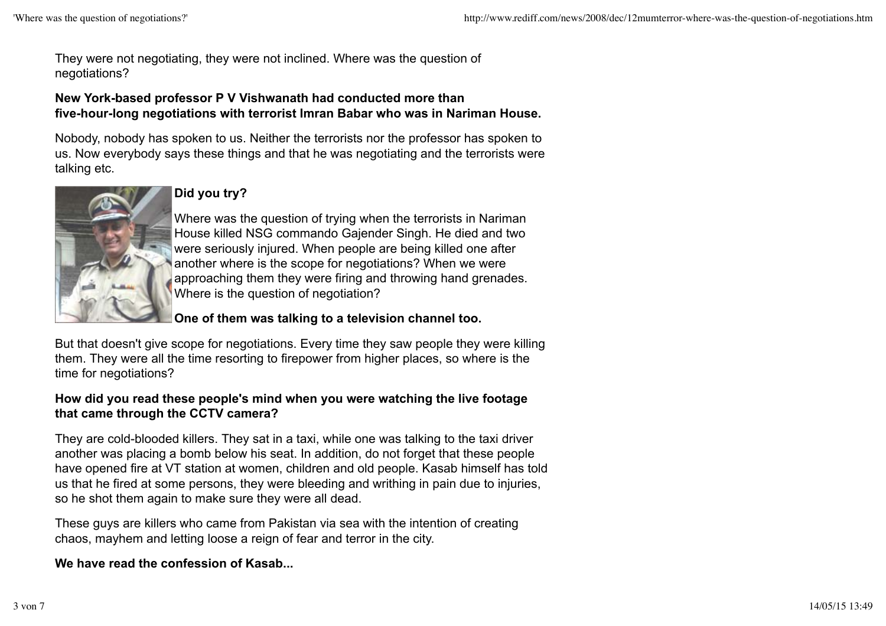They were not negotiating, they were not inclined. Where was the question of negotiations?

# **New York-based professor P V Vishwanath had conducted more than five-hour-long negotiations with terrorist Imran Babar who was in Nariman House.**

Nobody, nobody has spoken to us. Neither the terrorists nor the professor has spoken to us. Now everybody says these things and that he was negotiating and the terrorists were talking etc.



# **Did you try?**

Where was the question of trying when the terrorists in Nariman House killed NSG commando Gajender Singh. He died and two were seriously injured. When people are being killed one after another where is the scope for negotiations? When we were approaching them they were firing and throwing hand grenades. Where is the question of negotiation?

# **One of them was talking to a television channel too.**

But that doesn't give scope for negotiations. Every time they saw people they were killing them. They were all the time resorting to firepower from higher places, so where is the time for negotiations?

# **How did you read these people's mind when you were watching the live footage that came through the CCTV camera?**

They are cold-blooded killers. They sat in a taxi, while one was talking to the taxi driver another was placing a bomb below his seat. In addition, do not forget that these people have opened fire at VT station at women, children and old people. Kasab himself has told us that he fired at some persons, they were bleeding and writhing in pain due to injuries, so he shot them again to make sure they were all dead.

These guys are killers who came from Pakistan via sea with the intention of creating chaos, mayhem and letting loose a reign of fear and terror in the city.

**We have read the confession of Kasab...**